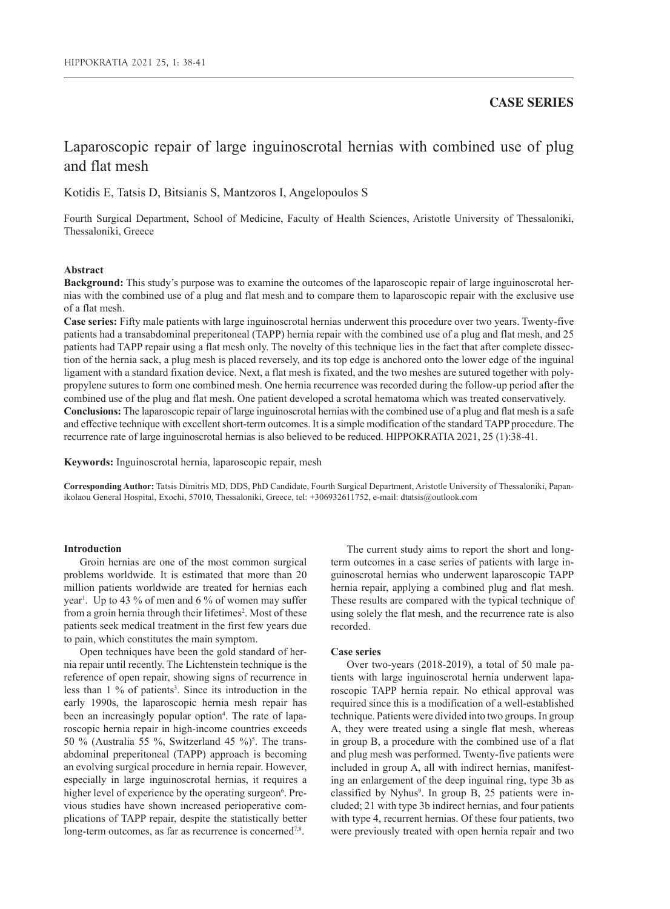# Laparoscopic repair of large inguinoscrotal hernias with combined use of plug and flat mesh

Kotidis E, Tatsis D, Bitsianis S, Mantzoros I, Angelopoulos S

Fourth Surgical Department, School of Medicine, Faculty of Health Sciences, Aristotle University of Thessaloniki, Thessaloniki, Greece

# **Abstract**

**Background:** This study's purpose was to examine the outcomes of the laparoscopic repair of large inguinoscrotal hernias with the combined use of a plug and flat mesh and to compare them to laparoscopic repair with the exclusive use of a flat mesh.

**Case series:** Fifty male patients with large inguinoscrotal hernias underwent this procedure over two years. Twenty-five patients had a transabdominal preperitoneal (TAPP) hernia repair with the combined use of a plug and flat mesh, and 25 patients had TAPP repair using a flat mesh only. The novelty of this technique lies in the fact that after complete dissection of the hernia sack, a plug mesh is placed reversely, and its top edge is anchored onto the lower edge of the inguinal ligament with a standard fixation device. Next, a flat mesh is fixated, and the two meshes are sutured together with polypropylene sutures to form one combined mesh. One hernia recurrence was recorded during the follow-up period after the combined use of the plug and flat mesh. One patient developed a scrotal hematoma which was treated conservatively. **Conclusions:** The laparoscopic repair of large inguinoscrotal hernias with the combined use of a plug and flat mesh is a safe and effective technique with excellent short-term outcomes. It is a simple modification of the standard TAPP procedure. The recurrence rate of large inguinoscrotal hernias is also believed to be reduced. HIPPOKRATIA 2021, 25 (1):38-41.

**Keywords:** Inguinoscrotal hernia, laparoscopic repair, mesh

**Corresponding Author:** Tatsis Dimitris MD, DDS, PhD Candidate, Fourth Surgical Department, Aristotle University of Thessaloniki, Papanikolaou General Hospital, Exochi, 57010, Thessaloniki, Greece, tel: +306932611752, e-mail: dtatsis@outlook.com

# **Introduction**

Groin hernias are one of the most common surgical problems worldwide. It is estimated that more than 20 million patients worldwide are treated for hernias each year<sup>1</sup>. Up to 43 % of men and 6 % of women may suffer from a groin hernia through their lifetimes<sup>2</sup>. Most of these patients seek medical treatment in the first few years due to pain, which constitutes the main symptom.

Open techniques have been the gold standard of hernia repair until recently. The Lichtenstein technique is the reference of open repair, showing signs of recurrence in less than 1 % of patients<sup>3</sup>. Since its introduction in the early 1990s, the laparoscopic hernia mesh repair has been an increasingly popular option<sup>4</sup>. The rate of laparoscopic hernia repair in high-income countries exceeds 50 % (Australia 55 %, Switzerland 45 %)<sup>5</sup>. The transabdominal preperitoneal (TAPP) approach is becoming an evolving surgical procedure in hernia repair. However, especially in large inguinoscrotal hernias, it requires a higher level of experience by the operating surgeon<sup>6</sup>. Previous studies have shown increased perioperative complications of TAPP repair, despite the statistically better long-term outcomes, as far as recurrence is concerned<sup>7,8</sup>.

The current study aims to report the short and longterm outcomes in a case series of patients with large inguinoscrotal hernias who underwent laparoscopic TAPP hernia repair, applying a combined plug and flat mesh. These results are compared with the typical technique of using solely the flat mesh, and the recurrence rate is also recorded.

# **Case series**

Over two-years (2018-2019), a total of 50 male patients with large inguinoscrotal hernia underwent laparoscopic TAPP hernia repair. No ethical approval was required since this is a modification of a well-established technique. Patients were divided into two groups. In group A, they were treated using a single flat mesh, whereas in group B, a procedure with the combined use of a flat and plug mesh was performed. Twenty-five patients were included in group A, all with indirect hernias, manifesting an enlargement of the deep inguinal ring, type 3b as classified by Nyhus<sup>9</sup>. In group B, 25 patients were included; 21 with type 3b indirect hernias, and four patients with type 4, recurrent hernias. Of these four patients, two were previously treated with open hernia repair and two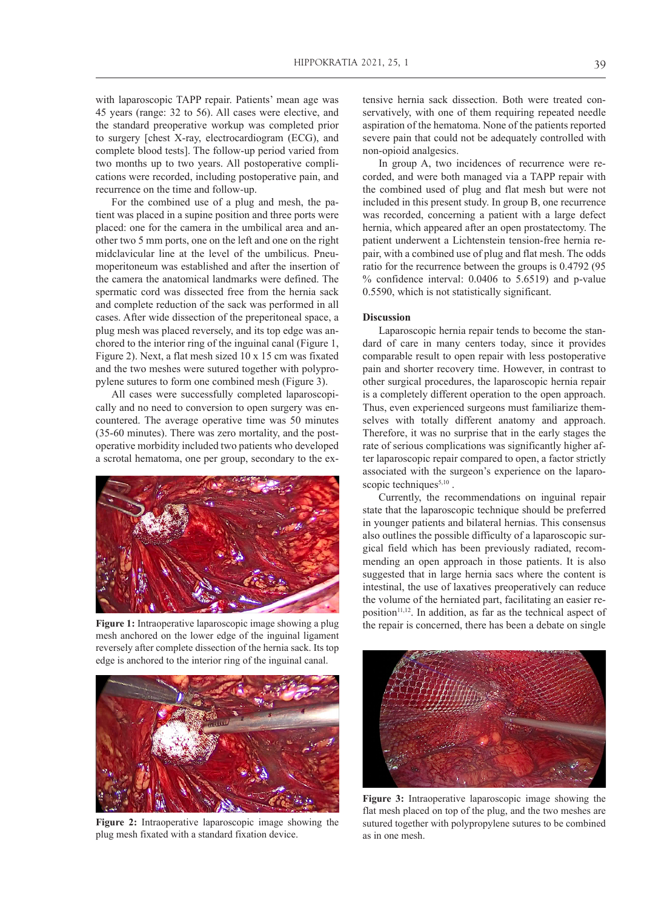with laparoscopic TAPP repair. Patients' mean age was 45 years (range: 32 to 56). All cases were elective, and the standard preoperative workup was completed prior to surgery [chest X-ray, electrocardiogram (ECG), and complete blood tests]. The follow-up period varied from two months up to two years. All postoperative complications were recorded, including postoperative pain, and recurrence on the time and follow-up.

For the combined use of a plug and mesh, the patient was placed in a supine position and three ports were placed: one for the camera in the umbilical area and another two 5 mm ports, one on the left and one on the right midclavicular line at the level of the umbilicus. Pneumoperitoneum was established and after the insertion of the camera the anatomical landmarks were defined. The spermatic cord was dissected free from the hernia sack and complete reduction of the sack was performed in all cases. After wide dissection of the preperitoneal space, a plug mesh was placed reversely, and its top edge was anchored to the interior ring of the inguinal canal (Figure 1, Figure 2). Next, a flat mesh sized 10 x 15 cm was fixated and the two meshes were sutured together with polypropylene sutures to form one combined mesh (Figure 3).

All cases were successfully completed laparoscopically and no need to conversion to open surgery was encountered. The average operative time was 50 minutes (35-60 minutes). There was zero mortality, and the postoperative morbidity included two patients who developed a scrotal hematoma, one per group, secondary to the ex-



**Figure 1:** Intraoperative laparoscopic image showing a plug mesh anchored on the lower edge of the inguinal ligament reversely after complete dissection of the hernia sack. Its top edge is anchored to the interior ring of the inguinal canal.



**Figure 2:** Intraoperative laparoscopic image showing the plug mesh fixated with a standard fixation device.

tensive hernia sack dissection. Both were treated conservatively, with one of them requiring repeated needle aspiration of the hematoma. None of the patients reported severe pain that could not be adequately controlled with non-opioid analgesics.

In group A, two incidences of recurrence were recorded, and were both managed via a TAPP repair with the combined used of plug and flat mesh but were not included in this present study. In group B, one recurrence was recorded, concerning a patient with a large defect hernia, which appeared after an open prostatectomy. The patient underwent a Lichtenstein tension-free hernia repair, with a combined use of plug and flat mesh. The odds ratio for the recurrence between the groups is 0.4792 (95 % confidence interval: 0.0406 to 5.6519) and p-value 0.5590, which is not statistically significant.

## **Discussion**

Laparoscopic hernia repair tends to become the standard of care in many centers today, since it provides comparable result to open repair with less postoperative pain and shorter recovery time. However, in contrast to other surgical procedures, the laparoscopic hernia repair is a completely different operation to the open approach. Thus, even experienced surgeons must familiarize themselves with totally different anatomy and approach. Therefore, it was no surprise that in the early stages the rate of serious complications was significantly higher after laparoscopic repair compared to open, a factor strictly associated with the surgeon's experience on the laparoscopic techniques<sup>5,10</sup>.

Currently, the recommendations on inguinal repair state that the laparoscopic technique should be preferred in younger patients and bilateral hernias. This consensus also outlines the possible difficulty of a laparoscopic surgical field which has been previously radiated, recommending an open approach in those patients. It is also suggested that in large hernia sacs where the content is intestinal, the use of laxatives preoperatively can reduce the volume of the herniated part, facilitating an easier reposition<sup>11,12</sup>. In addition, as far as the technical aspect of the repair is concerned, there has been a debate on single



**Figure 3:** Intraoperative laparoscopic image showing the flat mesh placed on top of the plug, and the two meshes are sutured together with polypropylene sutures to be combined as in one mesh.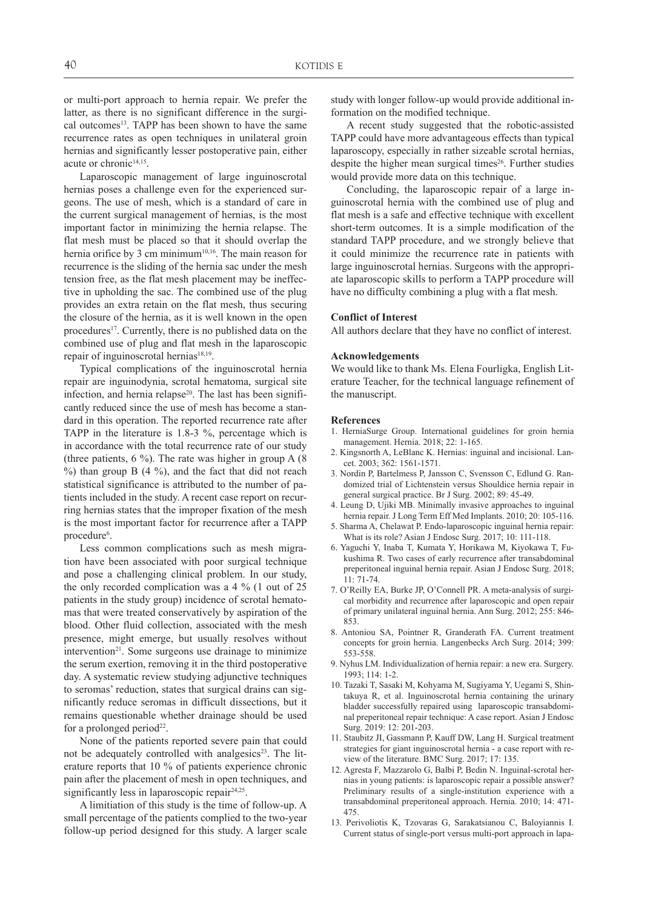or multi-port approach to hernia repair. We prefer the latter, as there is no significant difference in the surgical outcomes<sup>13</sup>. TAPP has been shown to have the same recurrence rates as open techniques in unilateral groin hernias and significantly lesser postoperative pain, either acute or chronic<sup>14,15</sup>.

Laparoscopic management of large inguinoscrotal hernias poses a challenge even for the experienced surgeons. The use of mesh, which is a standard of care in the current surgical management of hernias, is the most important factor in minimizing the hernia relapse. The flat mesh must be placed so that it should overlap the hernia orifice by 3 cm minimum<sup>10,16</sup>. The main reason for recurrence is the sliding of the hernia sac under the mesh tension free, as the flat mesh placement may be ineffective in upholding the sac. The combined use of the plug provides an extra retain on the flat mesh, thus securing the closure of the hernia, as it is well known in the open procedures<sup>17</sup>. Currently, there is no published data on the combined use of plug and flat mesh in the laparoscopic repair of inguinoscrotal hernias $18,19$ .

Typical complications of the inguinoscrotal hernia repair are inguinodynia, scrotal hematoma, surgical site infection, and hernia relapse<sup>20</sup>. The last has been significantly reduced since the use of mesh has become a standard in this operation. The reported recurrence rate after TAPP in the literature is 1.8-3 %, percentage which is in accordance with the total recurrence rate of our study (three patients,  $6\%$ ). The rate was higher in group A (8)  $\%$ ) than group B (4  $\%$ ), and the fact that did not reach statistical significance is attributed to the number of patients included in the study. A recent case report on recurring hernias states that the improper fixation of the mesh is the most important factor for recurrence after a TAPP procedure<sup>6</sup>.

Less common complications such as mesh migration have been associated with poor surgical technique and pose a challenging clinical problem. In our study, the only recorded complication was a 4 % (1 out of 25 patients in the study group) incidence of scrotal hematomas that were treated conservatively by aspiration of the blood. Other fluid collection, associated with the mesh presence, might emerge, but usually resolves without intervention<sup>21</sup>. Some surgeons use drainage to minimize the serum exertion, removing it in the third postoperative day. A systematic review studying adjunctive techniques to seromas' reduction, states that surgical drains can significantly reduce seromas in difficult dissections, but it remains questionable whether drainage should be used for a prolonged period $22$ .

None of the patients reported severe pain that could not be adequately controlled with analgesics<sup>23</sup>. The literature reports that 10 % of patients experience chronic pain after the placement of mesh in open techniques, and significantly less in laparoscopic repair $24,25$ .

A limitiation of this study is the time of follow-up. A small percentage of the patients complied to the two-year follow-up period designed for this study. A larger scale study with longer follow-up would provide additional information on the modified technique.

A recent study suggested that the robotic-assisted TAPP could have more advantageous effects than typical laparoscopy, especially in rather sizeable scrotal hernias, despite the higher mean surgical times<sup>26</sup>. Further studies would provide more data on this technique.

Concluding, the laparoscopic repair of a large inguinoscrotal hernia with the combined use of plug and flat mesh is a safe and effective technique with excellent short-term outcomes. It is a simple modification of the standard TAPP procedure, and we strongly believe that it could minimize the recurrence rate in patients with large inguinoscrotal hernias. Surgeons with the appropriate laparoscopic skills to perform a TAPP procedure will have no difficulty combining a plug with a flat mesh.

### **Conflict of Interest**

All authors declare that they have no conflict of interest.

#### **Acknowledgements**

We would like to thank Ms. Elena Fourligka, English Literature Teacher, for the technical language refinement of the manuscript.

#### **References**

- 1. HerniaSurge Group. International guidelines for groin hernia management. Hernia. 2018; 22: 1-165.
- 2. Kingsnorth A, LeBlanc K. Hernias: inguinal and incisional. Lancet. 2003; 362: 1561-1571.
- 3. Nordin P, Bartelmess P, Jansson C, Svensson C, Edlund G. Randomized trial of Lichtenstein versus Shouldice hernia repair in general surgical practice. Br J Surg. 2002; 89: 45-49.
- 4. Leung D, Ujiki MB. Minimally invasive approaches to inguinal hernia repair. J Long Term Eff Med Implants. 2010; 20: 105-116.
- 5. Sharma A, Chelawat P. Endo-laparoscopic inguinal hernia repair: What is its role? Asian J Endosc Surg. 2017; 10: 111-118.
- 6. Yaguchi Y, Inaba T, Kumata Y, Horikawa M, Kiyokawa T, Fukushima R. Two cases of early recurrence after transabdominal preperitoneal inguinal hernia repair. Asian J Endosc Surg. 2018; 11: 71-74.
- 7. O'Reilly EA, Burke JP, O'Connell PR. A meta-analysis of surgical morbidity and recurrence after laparoscopic and open repair of primary unilateral inguinal hernia. Ann Surg. 2012; 255: 846- 853.
- 8. Antoniou SA, Pointner R, Granderath FA. Current treatment concepts for groin hernia. Langenbecks Arch Surg. 2014; 399: 553-558.
- 9. Nyhus LM. Individualization of hernia repair: a new era. Surgery. 1993; 114: 1-2.
- 10. Tazaki T, Sasaki M, Kohyama M, Sugiyama Y, Uegami S, Shintakuya R, et al. Inguinoscrotal hernia containing the urinary bladder successfully repaired using laparoscopic transabdominal preperitoneal repair technique: A case report. Asian J Endosc Surg. 2019: 12: 201-203.
- 11. Staubitz JI, Gassmann P, Kauff DW, Lang H. Surgical treatment strategies for giant inguinoscrotal hernia - a case report with review of the literature. BMC Surg. 2017; 17: 135.
- 12. Agresta F, Mazzarolo G, Balbi P, Bedin N. Inguinal-scrotal hernias in young patients: is laparoscopic repair a possible answer? Preliminary results of a single-institution experience with a transabdominal preperitoneal approach. Hernia. 2010; 14: 471- 475.
- 13. Perivoliotis K, Tzovaras G, Sarakatsianou C, Baloyiannis I. Current status of single-port versus multi-port approach in lapa-